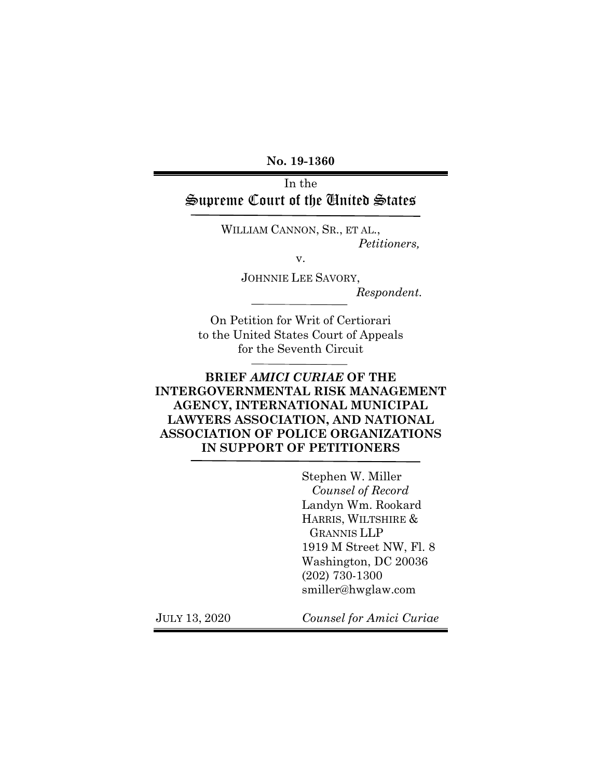**No. 19-1360**

## In the Supreme Court of the United States

WILLIAM CANNON, SR., ET AL., *Petitioners,*

v.

JOHNNIE LEE SAVORY,

*Respondent.*

On Petition for Writ of Certiorari to the United States Court of Appeals for the Seventh Circuit

## **BRIEF** *AMICI CURIAE* **OF THE INTERGOVERNMENTAL RISK MANAGEMENT AGENCY, INTERNATIONAL MUNICIPAL LAWYERS ASSOCIATION, AND NATIONAL ASSOCIATION OF POLICE ORGANIZATIONS IN SUPPORT OF PETITIONERS**

Stephen W. Miller *Counsel of Record* Landyn Wm. Rookard HARRIS, WILTSHIRE & GRANNIS LLP 1919 M Street NW, Fl. 8 Washington, DC 20036 (202) 730-1300 smiller@hwglaw.com

JULY 13, 2020 *Counsel for Amici Curiae*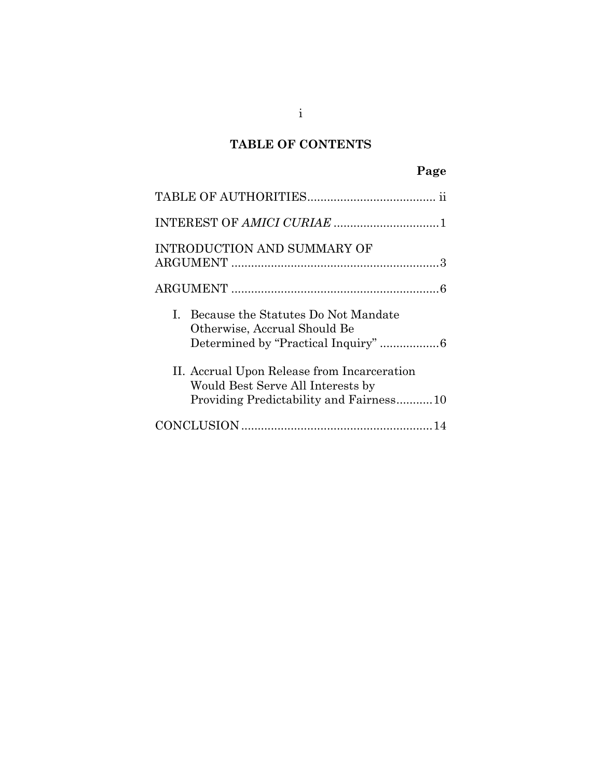# **TABLE OF CONTENTS**

| INTRODUCTION AND SUMMARY OF                                                                                                 |
|-----------------------------------------------------------------------------------------------------------------------------|
|                                                                                                                             |
| I. Because the Statutes Do Not Mandate<br>Otherwise, Accrual Should Be<br>Determined by "Practical Inquiry" 6               |
| II. Accrual Upon Release from Incarceration<br>Would Best Serve All Interests by<br>Providing Predictability and Fairness10 |
|                                                                                                                             |

i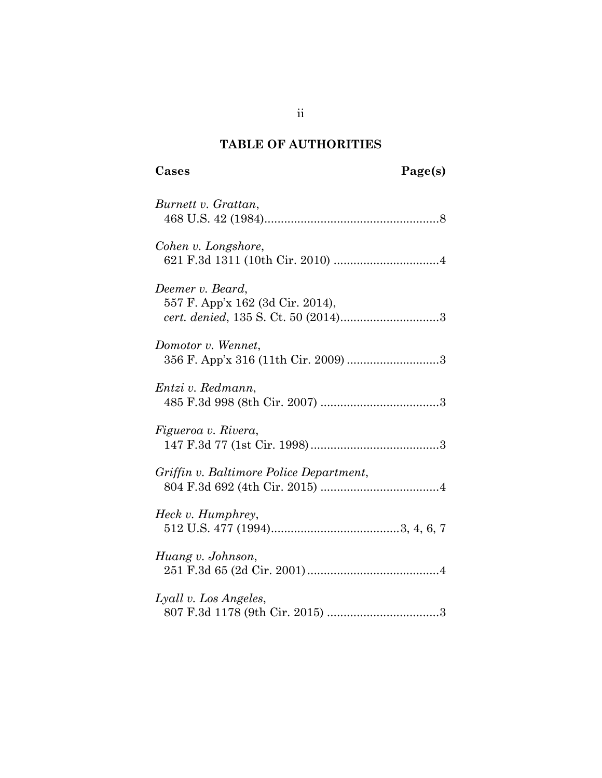# **TABLE OF AUTHORITIES**

| Burnett v. Grattan,                                       |
|-----------------------------------------------------------|
| Cohen v. Longshore,                                       |
| Deemer v. Beard,<br>557 F. App'x 162 (3d Cir. 2014),      |
| Domotor v. Wennet,<br>356 F. App'x 316 (11th Cir. 2009) 3 |
| Entzi v. Redmann,                                         |
| Figueroa v. Rivera,                                       |
| Griffin v. Baltimore Police Department,                   |
| Heck v. Humphrey,                                         |
| Huang v. Johnson,                                         |
| Lyall v. Los Angeles,                                     |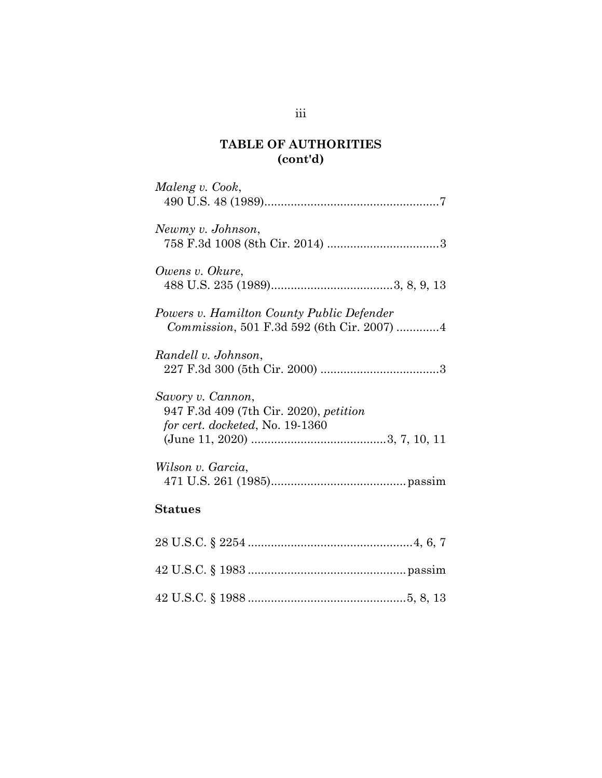# **TABLE OF AUTHORITIES (cont'd)**

| Maleng v. Cook,                                                                                       |
|-------------------------------------------------------------------------------------------------------|
| Newmy v. Johnson,                                                                                     |
| Owens v. Okure,                                                                                       |
| Powers v. Hamilton County Public Defender<br>Commission, 501 F.3d 592 (6th Cir. 2007) 4               |
| Randell v. Johnson,                                                                                   |
| Savory v. Cannon,<br>947 F.3d 409 (7th Cir. 2020), <i>petition</i><br>for cert. docketed, No. 19-1360 |
| Wilson v. Garcia,                                                                                     |
| <b>Statues</b>                                                                                        |
| $\Omega$ $\Omega$ $\Gamma$ $\Gamma$ $\Omega$ $\Gamma$ $\Omega$ $\Omega$ $\Omega$ $\Gamma$ $\Gamma$    |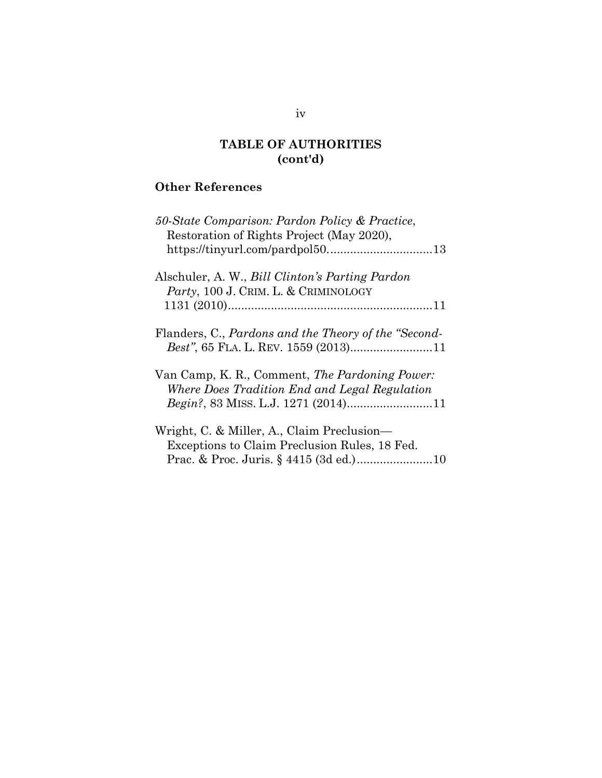## **TABLE OF AUTHORITIES (cont'd)**

## **Other References**

| 50-State Comparison: Pardon Policy & Practice,<br>Restoration of Rights Project (May 2020),  |
|----------------------------------------------------------------------------------------------|
|                                                                                              |
| Alschuler, A. W., <i>Bill Clinton's Parting Pardon</i>                                       |
| Party, 100 J. CRIM. L. & CRIMINOLOGY                                                         |
|                                                                                              |
| Flanders, C., Pardons and the Theory of the "Second-<br>Best", 65 FLA. L. REV. 1559 (2013)11 |
| Van Camp, K. R., Comment, The Pardoning Power:                                               |
| Where Does Tradition End and Legal Regulation                                                |
| Wright, C. & Miller, A., Claim Preclusion—                                                   |
| Exceptions to Claim Preclusion Rules, 18 Fed.                                                |
|                                                                                              |

### iv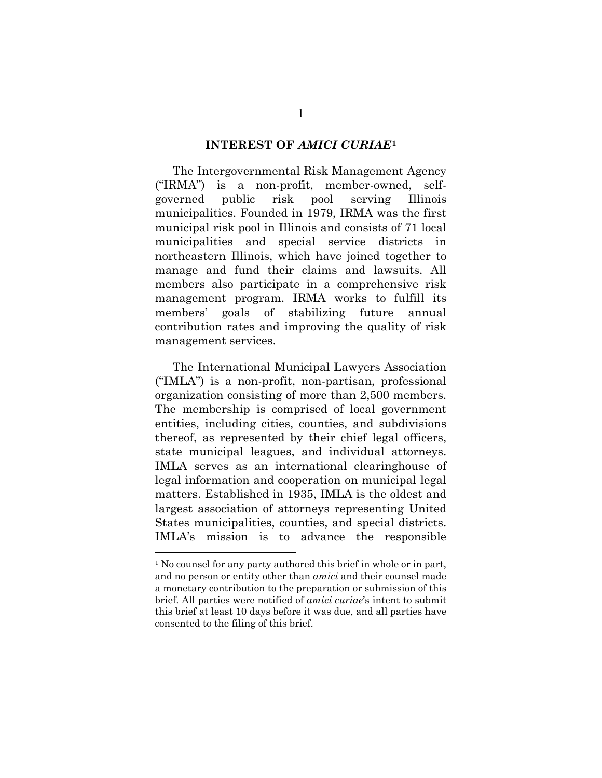#### **INTEREST OF** *AMICI CURIAE***[1](#page-5-0)**

The Intergovernmental Risk Management Agency ("IRMA") is a non-profit, member-owned, selfgoverned public risk pool serving Illinois municipalities. Founded in 1979, IRMA was the first municipal risk pool in Illinois and consists of 71 local municipalities and special service districts in northeastern Illinois, which have joined together to manage and fund their claims and lawsuits. All members also participate in a comprehensive risk management program. IRMA works to fulfill its members' goals of stabilizing future annual contribution rates and improving the quality of risk management services.

The International Municipal Lawyers Association ("IMLA") is a non-profit, non-partisan, professional organization consisting of more than 2,500 members. The membership is comprised of local government entities, including cities, counties, and subdivisions thereof, as represented by their chief legal officers, state municipal leagues, and individual attorneys. IMLA serves as an international clearinghouse of legal information and cooperation on municipal legal matters. Established in 1935, IMLA is the oldest and largest association of attorneys representing United States municipalities, counties, and special districts. IMLA's mission is to advance the responsible

<span id="page-5-0"></span><sup>1</sup> No counsel for any party authored this brief in whole or in part, and no person or entity other than *amici* and their counsel made a monetary contribution to the preparation or submission of this brief. All parties were notified of *amici curiae*'s intent to submit this brief at least 10 days before it was due, and all parties have consented to the filing of this brief.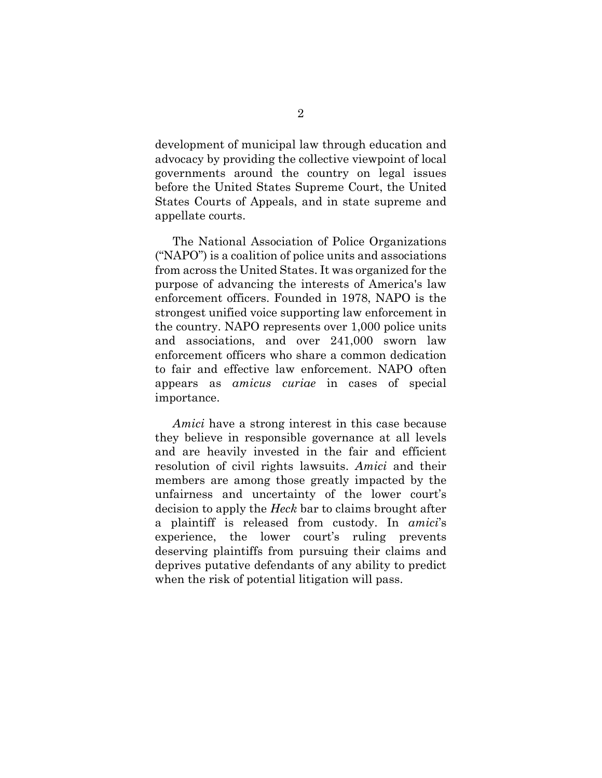development of municipal law through education and advocacy by providing the collective viewpoint of local governments around the country on legal issues before the United States Supreme Court, the United States Courts of Appeals, and in state supreme and appellate courts.

The National Association of Police Organizations ("NAPO") is a coalition of police units and associations from across the United States. It was organized for the purpose of advancing the interests of America's law enforcement officers. Founded in 1978, NAPO is the strongest unified voice supporting law enforcement in the country. NAPO represents over 1,000 police units and associations, and over 241,000 sworn law enforcement officers who share a common dedication to fair and effective law enforcement. NAPO often appears as *amicus curiae* in cases of special importance.

*Amici* have a strong interest in this case because they believe in responsible governance at all levels and are heavily invested in the fair and efficient resolution of civil rights lawsuits. *Amici* and their members are among those greatly impacted by the unfairness and uncertainty of the lower court's decision to apply the *Heck* bar to claims brought after a plaintiff is released from custody. In *amici*'s experience, the lower court's ruling prevents deserving plaintiffs from pursuing their claims and deprives putative defendants of any ability to predict when the risk of potential litigation will pass.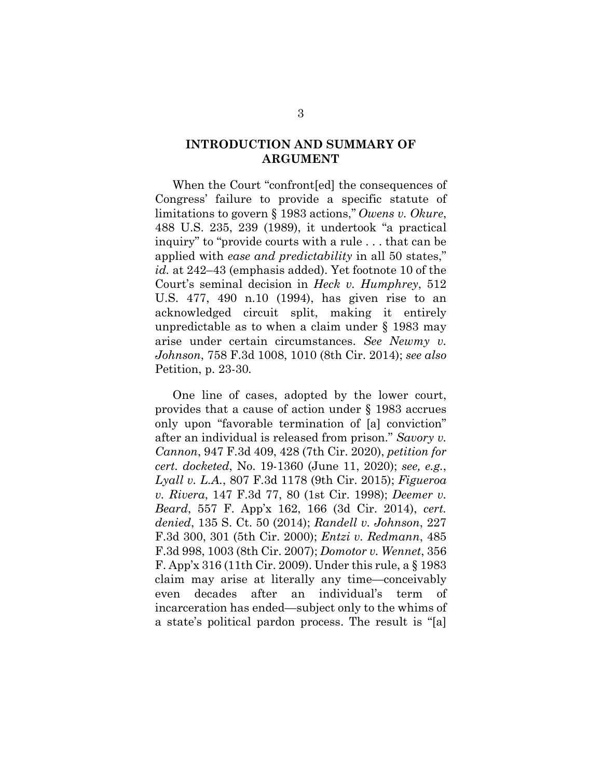#### **INTRODUCTION AND SUMMARY OF ARGUMENT**

When the Court "confront[ed] the consequences of Congress' failure to provide a specific statute of limitations to govern § 1983 actions," *Owens v. Okure*, 488 U.S. 235, 239 (1989), it undertook "a practical inquiry" to "provide courts with a rule . . . that can be applied with *ease and predictability* in all 50 states," *id.* at 242–43 (emphasis added). Yet footnote 10 of the Court's seminal decision in *Heck v. Humphrey*, 512 U.S. 477, 490 n.10 (1994), has given rise to an acknowledged circuit split, making it entirely unpredictable as to when a claim under § 1983 may arise under certain circumstances. *See Newmy v. Johnson*, 758 F.3d 1008, 1010 (8th Cir. 2014); *see also*  Petition, p. 23-30*.*

One line of cases, adopted by the lower court, provides that a cause of action under § 1983 accrues only upon "favorable termination of [a] conviction" after an individual is released from prison." *Savory v. Cannon*, 947 F.3d 409, 428 (7th Cir. 2020), *petition for cert. docketed*, No. 19-1360 (June 11, 2020); *see, e.g.*, *Lyall v. L.A.*, 807 F.3d 1178 (9th Cir. 2015); *Figueroa v. Rivera*, 147 F.3d 77, 80 (1st Cir. 1998); *Deemer v. Beard*, 557 F. App'x 162, 166 (3d Cir. 2014), *cert. denied*, 135 S. Ct. 50 (2014); *Randell v. Johnson*, 227 F.3d 300, 301 (5th Cir. 2000); *Entzi v. Redmann*, 485 F.3d 998, 1003 (8th Cir. 2007); *Domotor v. Wennet*, 356 F. App'x 316 (11th Cir. 2009). Under this rule, a § 1983 claim may arise at literally any time—conceivably even decades after an individual's term of incarceration has ended—subject only to the whims of a state's political pardon process. The result is "[a]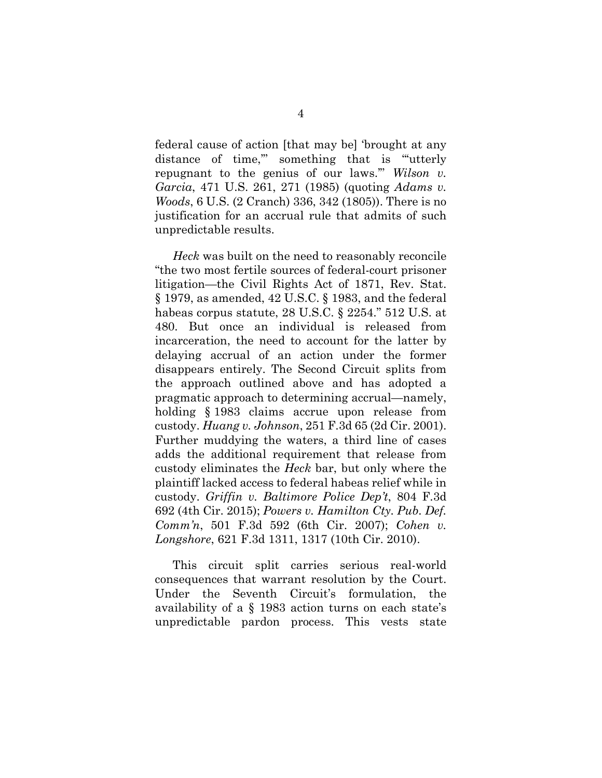federal cause of action [that may be] 'brought at any distance of time," something that is "utterly repugnant to the genius of our laws.'" *Wilson v. Garcia*, 471 U.S. 261, 271 (1985) (quoting *Adams v. Woods*, 6 U.S. (2 Cranch) 336, 342 (1805)). There is no justification for an accrual rule that admits of such unpredictable results.

*Heck* was built on the need to reasonably reconcile "the two most fertile sources of federal-court prisoner litigation—the Civil Rights Act of 1871, Rev. Stat. § 1979, as amended, 42 U.S.C. § 1983, and the federal habeas corpus statute, 28 U.S.C. § 2254." 512 U.S. at 480. But once an individual is released from incarceration, the need to account for the latter by delaying accrual of an action under the former disappears entirely. The Second Circuit splits from the approach outlined above and has adopted a pragmatic approach to determining accrual—namely, holding § 1983 claims accrue upon release from custody. *Huang v. Johnson*, 251 F.3d 65 (2d Cir. 2001). Further muddying the waters, a third line of cases adds the additional requirement that release from custody eliminates the *Heck* bar, but only where the plaintiff lacked access to federal habeas relief while in custody. *Griffin v. Baltimore Police Dep't*, 804 F.3d 692 (4th Cir. 2015); *Powers v. Hamilton Cty. Pub. Def. Comm'n*, 501 F.3d 592 (6th Cir. 2007); *Cohen v. Longshore*, 621 F.3d 1311, 1317 (10th Cir. 2010).

This circuit split carries serious real-world consequences that warrant resolution by the Court. Under the Seventh Circuit's formulation, the availability of a § 1983 action turns on each state's unpredictable pardon process. This vests state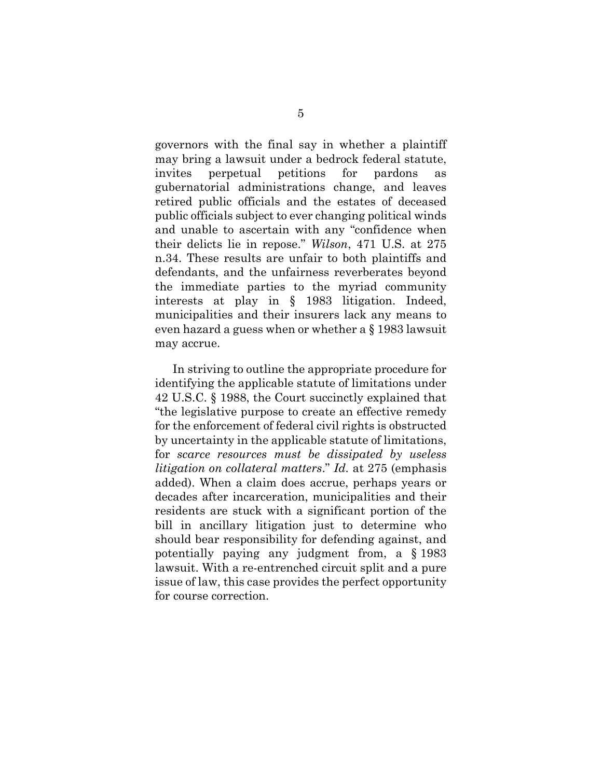governors with the final say in whether a plaintiff may bring a lawsuit under a bedrock federal statute, invites perpetual petitions for pardons as gubernatorial administrations change, and leaves retired public officials and the estates of deceased public officials subject to ever changing political winds and unable to ascertain with any "confidence when their delicts lie in repose." *Wilson*, 471 U.S. at 275 n.34. These results are unfair to both plaintiffs and defendants, and the unfairness reverberates beyond the immediate parties to the myriad community interests at play in § 1983 litigation. Indeed, municipalities and their insurers lack any means to even hazard a guess when or whether a § 1983 lawsuit may accrue.

In striving to outline the appropriate procedure for identifying the applicable statute of limitations under 42 U.S.C. § 1988, the Court succinctly explained that "the legislative purpose to create an effective remedy for the enforcement of federal civil rights is obstructed by uncertainty in the applicable statute of limitations, for *scarce resources must be dissipated by useless litigation on collateral matters*." *Id.* at 275 (emphasis added). When a claim does accrue, perhaps years or decades after incarceration, municipalities and their residents are stuck with a significant portion of the bill in ancillary litigation just to determine who should bear responsibility for defending against, and potentially paying any judgment from, a § 1983 lawsuit. With a re-entrenched circuit split and a pure issue of law, this case provides the perfect opportunity for course correction.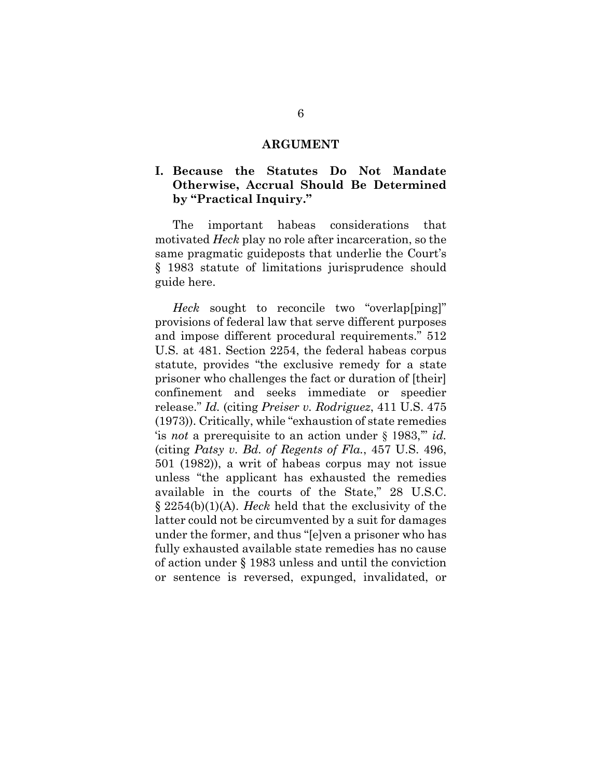#### **ARGUMENT**

#### **I. Because the Statutes Do Not Mandate Otherwise, Accrual Should Be Determined by "Practical Inquiry."**

The important habeas considerations that motivated *Heck* play no role after incarceration, so the same pragmatic guideposts that underlie the Court's § 1983 statute of limitations jurisprudence should guide here.

*Heck* sought to reconcile two "overlap[ping]" provisions of federal law that serve different purposes and impose different procedural requirements." 512 U.S. at 481. Section 2254, the federal habeas corpus statute, provides "the exclusive remedy for a state prisoner who challenges the fact or duration of [their] confinement and seeks immediate or speedier release." *Id.* (citing *Preiser v. Rodriguez*, 411 U.S. 475 (1973)). Critically, while "exhaustion of state remedies 'is *not* a prerequisite to an action under § 1983,'" *id.* (citing *Patsy v. Bd. of Regents of Fla.*, 457 U.S. 496, 501 (1982)), a writ of habeas corpus may not issue unless "the applicant has exhausted the remedies available in the courts of the State," 28 U.S.C. § 2254(b)(1)(A). *Heck* held that the exclusivity of the latter could not be circumvented by a suit for damages under the former, and thus "[e]ven a prisoner who has fully exhausted available state remedies has no cause of action under § 1983 unless and until the conviction or sentence is reversed, expunged, invalidated, or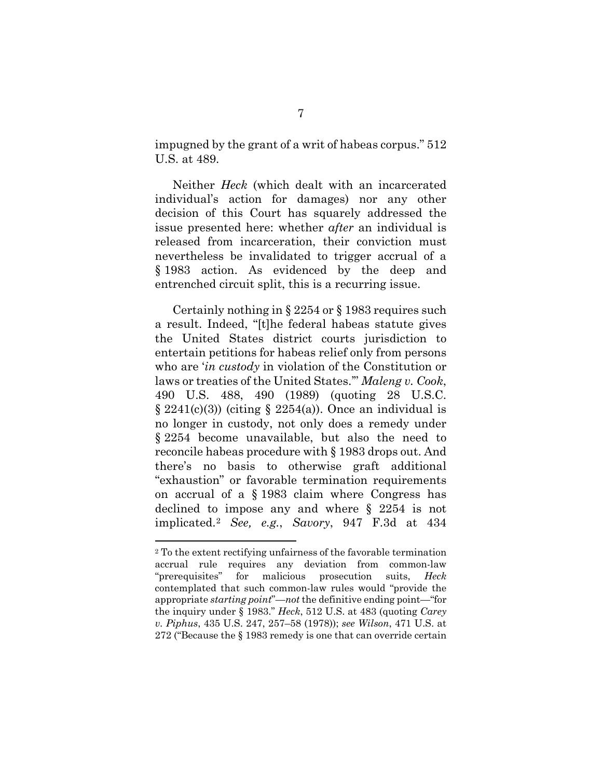impugned by the grant of a writ of habeas corpus." 512 U.S. at 489.

Neither *Heck* (which dealt with an incarcerated individual's action for damages) nor any other decision of this Court has squarely addressed the issue presented here: whether *after* an individual is released from incarceration, their conviction must nevertheless be invalidated to trigger accrual of a § 1983 action. As evidenced by the deep and entrenched circuit split, this is a recurring issue.

Certainly nothing in § 2254 or § 1983 requires such a result. Indeed, "[t]he federal habeas statute gives the United States district courts jurisdiction to entertain petitions for habeas relief only from persons who are '*in custody* in violation of the Constitution or laws or treaties of the United States.'" *Maleng v. Cook*, 490 U.S. 488, 490 (1989) (quoting 28 U.S.C.  $\S 2241(c)(3)$  (citing  $\S 2254(a)$ ). Once an individual is no longer in custody, not only does a remedy under § 2254 become unavailable, but also the need to reconcile habeas procedure with § 1983 drops out. And there's no basis to otherwise graft additional "exhaustion" or favorable termination requirements on accrual of a § 1983 claim where Congress has declined to impose any and where § 2254 is not implicated.[2](#page-11-0) *See, e.g.*, *Savory*, 947 F.3d at 434

<span id="page-11-0"></span><sup>2</sup> To the extent rectifying unfairness of the favorable termination accrual rule requires any deviation from common-law "prerequisites" for malicious prosecution suits, *Heck* contemplated that such common-law rules would "provide the appropriate *starting point*"—*not* the definitive ending point—"for the inquiry under § 1983." *Heck*, 512 U.S. at 483 (quoting *Carey v. Piphus*, 435 U.S. 247, 257–58 (1978)); *see Wilson*, 471 U.S. at 272 ("Because the § 1983 remedy is one that can override certain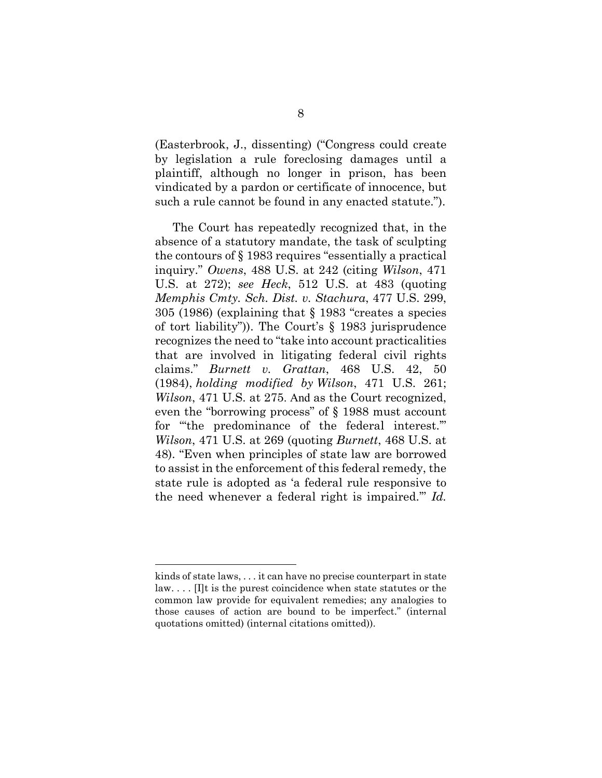(Easterbrook, J., dissenting) ("Congress could create by legislation a rule foreclosing damages until a plaintiff, although no longer in prison, has been vindicated by a pardon or certificate of innocence, but such a rule cannot be found in any enacted statute.").

The Court has repeatedly recognized that, in the absence of a statutory mandate, the task of sculpting the contours of § 1983 requires "essentially a practical inquiry." *Owens*, 488 U.S. at 242 (citing *Wilson*, 471 U.S. at 272); *see Heck*, 512 U.S. at 483 (quoting *Memphis Cmty. Sch. Dist. v. Stachura*, 477 U.S. 299, 305 (1986) (explaining that § 1983 "creates a species of tort liability")). The Court's § 1983 jurisprudence recognizes the need to "take into account practicalities that are involved in litigating federal civil rights claims." *Burnett v. Grattan*, 468 U.S. 42, 50 (1984), *holding modified by Wilson*, 471 U.S. 261; *Wilson*, 471 U.S. at 275. And as the Court recognized, even the "borrowing process" of § 1988 must account for "'the predominance of the federal interest.'" *Wilson*, 471 U.S. at 269 (quoting *Burnett*, 468 U.S. at 48). "Even when principles of state law are borrowed to assist in the enforcement of this federal remedy, the state rule is adopted as 'a federal rule responsive to the need whenever a federal right is impaired.'" *Id.*

kinds of state laws, . . . it can have no precise counterpart in state law. . . . [I]t is the purest coincidence when state statutes or the common law provide for equivalent remedies; any analogies to those causes of action are bound to be imperfect." (internal quotations omitted) (internal citations omitted)).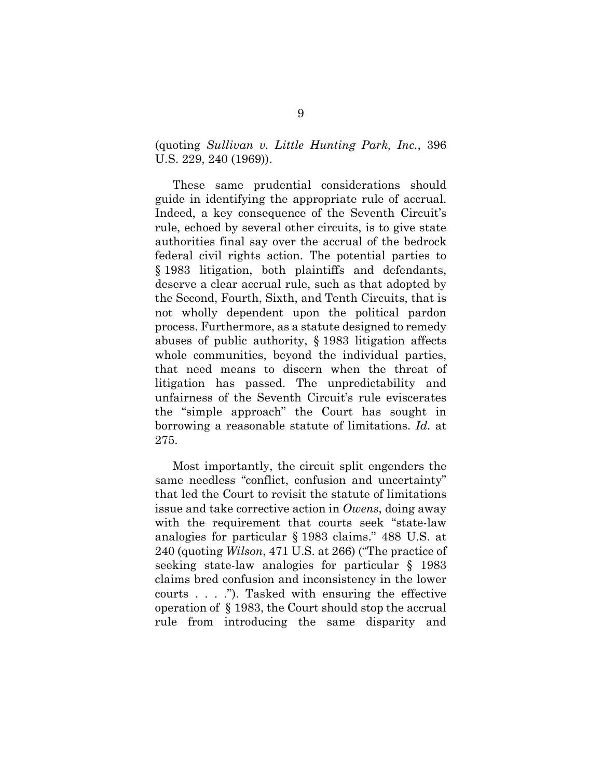(quoting *Sullivan v. Little Hunting Park, Inc.*, 396 U.S. 229, 240 (1969)).

These same prudential considerations should guide in identifying the appropriate rule of accrual. Indeed, a key consequence of the Seventh Circuit's rule, echoed by several other circuits, is to give state authorities final say over the accrual of the bedrock federal civil rights action. The potential parties to § 1983 litigation, both plaintiffs and defendants, deserve a clear accrual rule, such as that adopted by the Second, Fourth, Sixth, and Tenth Circuits, that is not wholly dependent upon the political pardon process. Furthermore, as a statute designed to remedy abuses of public authority, § 1983 litigation affects whole communities, beyond the individual parties, that need means to discern when the threat of litigation has passed. The unpredictability and unfairness of the Seventh Circuit's rule eviscerates the "simple approach" the Court has sought in borrowing a reasonable statute of limitations. *Id.* at 275.

Most importantly, the circuit split engenders the same needless "conflict, confusion and uncertainty" that led the Court to revisit the statute of limitations issue and take corrective action in *Owens*, doing away with the requirement that courts seek "state-law analogies for particular § 1983 claims." 488 U.S. at 240 (quoting *Wilson*, 471 U.S. at 266) ("The practice of seeking state-law analogies for particular § 1983 claims bred confusion and inconsistency in the lower courts . . . ."). Tasked with ensuring the effective operation of § 1983, the Court should stop the accrual rule from introducing the same disparity and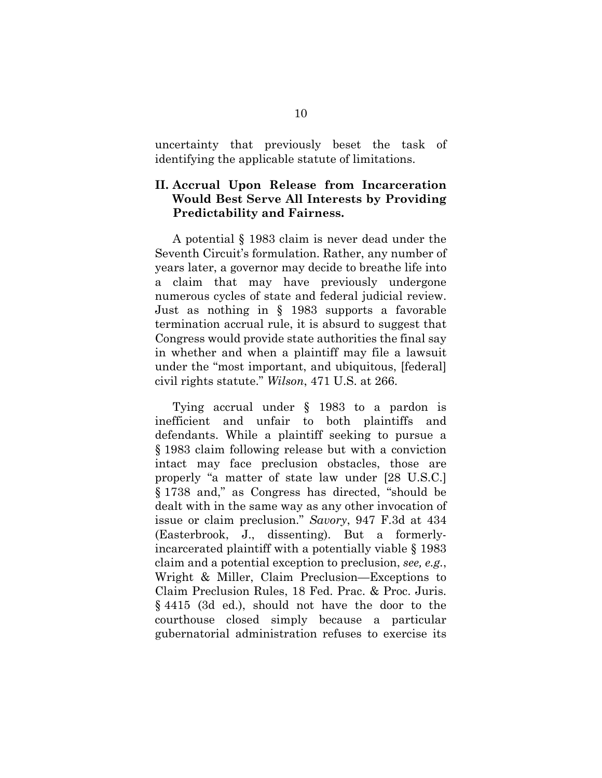uncertainty that previously beset the task of identifying the applicable statute of limitations.

## **II. Accrual Upon Release from Incarceration Would Best Serve All Interests by Providing Predictability and Fairness.**

A potential § 1983 claim is never dead under the Seventh Circuit's formulation. Rather, any number of years later, a governor may decide to breathe life into a claim that may have previously undergone numerous cycles of state and federal judicial review. Just as nothing in § 1983 supports a favorable termination accrual rule, it is absurd to suggest that Congress would provide state authorities the final say in whether and when a plaintiff may file a lawsuit under the "most important, and ubiquitous, [federal] civil rights statute." *Wilson*, 471 U.S. at 266.

Tying accrual under § 1983 to a pardon is inefficient and unfair to both plaintiffs and defendants. While a plaintiff seeking to pursue a § 1983 claim following release but with a conviction intact may face preclusion obstacles, those are properly "a matter of state law under [28 U.S.C.] § 1738 and," as Congress has directed, "should be dealt with in the same way as any other invocation of issue or claim preclusion." *Savory*, 947 F.3d at 434 (Easterbrook, J., dissenting). But a formerlyincarcerated plaintiff with a potentially viable § 1983 claim and a potential exception to preclusion, *see, e.g.*, Wright & Miller, Claim Preclusion—Exceptions to Claim Preclusion Rules, 18 Fed. Prac. & Proc. Juris. § 4415 (3d ed.), should not have the door to the courthouse closed simply because a particular gubernatorial administration refuses to exercise its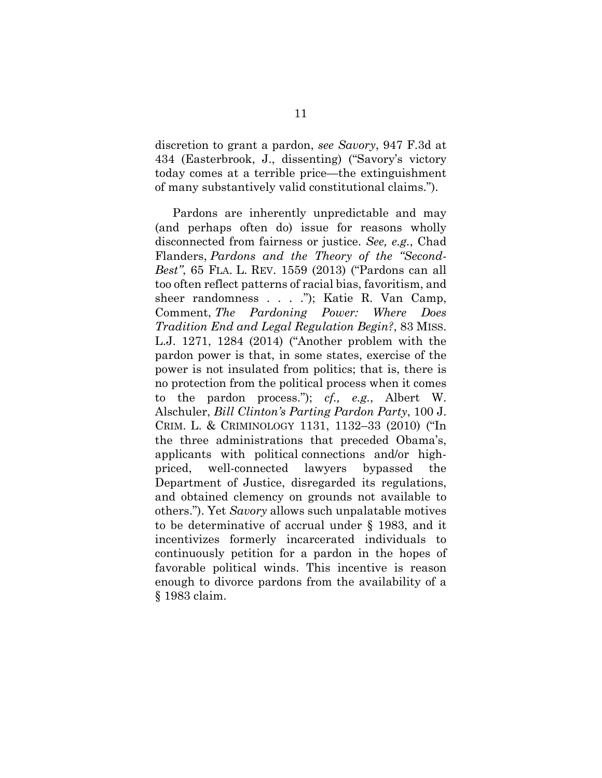discretion to grant a pardon, *see Savory*, 947 F.3d at 434 (Easterbrook, J., dissenting) ("Savory's victory today comes at a terrible price—the extinguishment of many substantively valid constitutional claims.").

Pardons are inherently unpredictable and may (and perhaps often do) issue for reasons wholly disconnected from fairness or justice. *See, e.g.*, Chad Flanders, *Pardons and the Theory of the "Second-Best"*, 65 FLA. L. REV. 1559 (2013) ("Pardons can all too often reflect patterns of racial bias, favoritism, and sheer randomness . . . ."); Katie R. Van Camp, Comment, *The Pardoning Power: Where Does Tradition End and Legal Regulation Begin?*, 83 MISS. L.J. 1271, 1284 (2014) ("Another problem with the pardon power is that, in some states, exercise of the power is not insulated from politics; that is, there is no protection from the political process when it comes to the pardon process."); *cf., e.g.*, Albert W. Alschuler, *Bill Clinton's Parting Pardon Party*, 100 J. CRIM. L. & CRIMINOLOGY 1131, 1132–33 (2010) ("In the three administrations that preceded Obama's, applicants with political connections and/or highpriced, well-connected lawyers bypassed the Department of Justice, disregarded its regulations, and obtained clemency on grounds not available to others."). Yet *Savory* allows such unpalatable motives to be determinative of accrual under § 1983, and it incentivizes formerly incarcerated individuals to continuously petition for a pardon in the hopes of favorable political winds. This incentive is reason enough to divorce pardons from the availability of a § 1983 claim.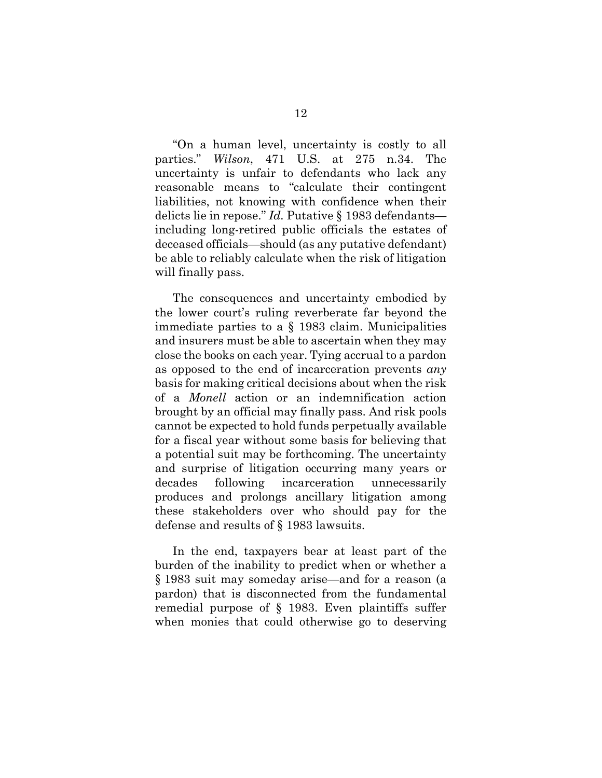"On a human level, uncertainty is costly to all parties." *Wilson*, 471 U.S. at 275 n.34. The uncertainty is unfair to defendants who lack any reasonable means to "calculate their contingent liabilities, not knowing with confidence when their delicts lie in repose." *Id.* Putative § 1983 defendants including long-retired public officials the estates of deceased officials—should (as any putative defendant) be able to reliably calculate when the risk of litigation will finally pass.

The consequences and uncertainty embodied by the lower court's ruling reverberate far beyond the immediate parties to a § 1983 claim. Municipalities and insurers must be able to ascertain when they may close the books on each year. Tying accrual to a pardon as opposed to the end of incarceration prevents *any* basis for making critical decisions about when the risk of a *Monell* action or an indemnification action brought by an official may finally pass. And risk pools cannot be expected to hold funds perpetually available for a fiscal year without some basis for believing that a potential suit may be forthcoming. The uncertainty and surprise of litigation occurring many years or decades following incarceration unnecessarily produces and prolongs ancillary litigation among these stakeholders over who should pay for the defense and results of § 1983 lawsuits.

In the end, taxpayers bear at least part of the burden of the inability to predict when or whether a § 1983 suit may someday arise—and for a reason (a pardon) that is disconnected from the fundamental remedial purpose of § 1983. Even plaintiffs suffer when monies that could otherwise go to deserving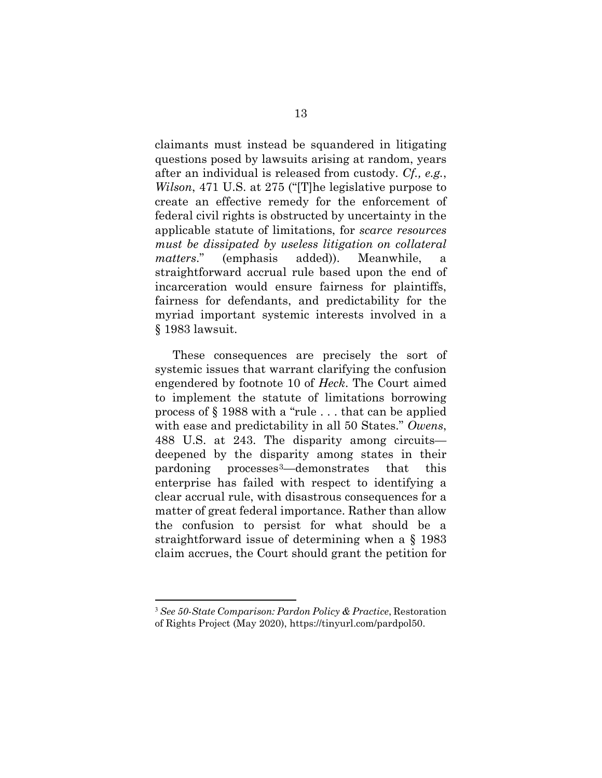claimants must instead be squandered in litigating questions posed by lawsuits arising at random, years after an individual is released from custody. *Cf., e.g.*, *Wilson*, 471 U.S. at 275 ("[T]he legislative purpose to create an effective remedy for the enforcement of federal civil rights is obstructed by uncertainty in the applicable statute of limitations, for *scarce resources must be dissipated by useless litigation on collateral matters*." (emphasis added)). Meanwhile, a straightforward accrual rule based upon the end of incarceration would ensure fairness for plaintiffs, fairness for defendants, and predictability for the myriad important systemic interests involved in a § 1983 lawsuit.

These consequences are precisely the sort of systemic issues that warrant clarifying the confusion engendered by footnote 10 of *Heck*. The Court aimed to implement the statute of limitations borrowing process of § 1988 with a "rule . . . that can be applied with ease and predictability in all 50 States." *Owens*, 488 U.S. at 243. The disparity among circuits deepened by the disparity among states in their pardoning processes[3](#page-17-0)—demonstrates that this enterprise has failed with respect to identifying a clear accrual rule, with disastrous consequences for a matter of great federal importance. Rather than allow the confusion to persist for what should be a straightforward issue of determining when a § 1983 claim accrues, the Court should grant the petition for

<span id="page-17-0"></span><sup>3</sup> *See 50-State Comparison: Pardon Policy & Practice*, Restoration of Rights Project (May 2020), https://tinyurl.com/pardpol50.